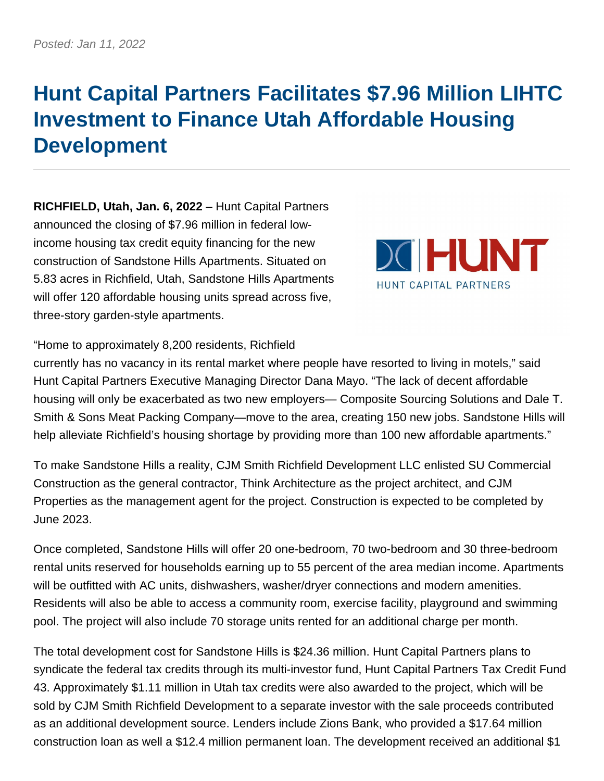## **Hunt Capital Partners Facilitates \$7.96 Million LIHTC Investment to Finance Utah Affordable Housing Development**

**RICHFIELD, Utah, Jan. 6, 2022** – Hunt Capital Partners announced the closing of \$7.96 million in federal lowincome housing tax credit equity financing for the new construction of Sandstone Hills Apartments. Situated on 5.83 acres in Richfield, Utah, Sandstone Hills Apartments will offer 120 affordable housing units spread across five, three-story garden-style apartments.



"Home to approximately 8,200 residents, Richfield

currently has no vacancy in its rental market where people have resorted to living in motels," said Hunt Capital Partners Executive Managing Director Dana Mayo. "The lack of decent affordable housing will only be exacerbated as two new employers— Composite Sourcing Solutions and Dale T. Smith & Sons Meat Packing Company—move to the area, creating 150 new jobs. Sandstone Hills will help alleviate Richfield's housing shortage by providing more than 100 new affordable apartments."

To make Sandstone Hills a reality, CJM Smith Richfield Development LLC enlisted SU Commercial Construction as the general contractor, Think Architecture as the project architect, and CJM Properties as the management agent for the project. Construction is expected to be completed by June 2023.

Once completed, Sandstone Hills will offer 20 one-bedroom, 70 two-bedroom and 30 three-bedroom rental units reserved for households earning up to 55 percent of the area median income. Apartments will be outfitted with AC units, dishwashers, washer/dryer connections and modern amenities. Residents will also be able to access a community room, exercise facility, playground and swimming pool. The project will also include 70 storage units rented for an additional charge per month.

The total development cost for Sandstone Hills is \$24.36 million. Hunt Capital Partners plans to syndicate the federal tax credits through its multi-investor fund, Hunt Capital Partners Tax Credit Fund 43. Approximately \$1.11 million in Utah tax credits were also awarded to the project, which will be sold by CJM Smith Richfield Development to a separate investor with the sale proceeds contributed as an additional development source. Lenders include Zions Bank, who provided a \$17.64 million construction loan as well a \$12.4 million permanent loan. The development received an additional \$1